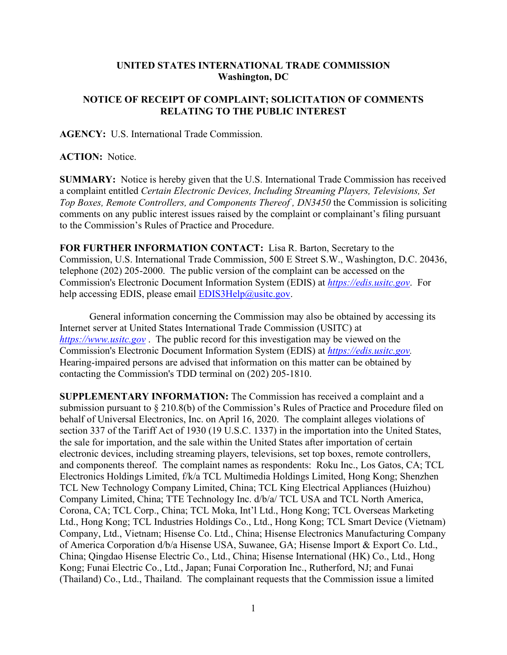## **UNITED STATES INTERNATIONAL TRADE COMMISSION Washington, DC**

## **NOTICE OF RECEIPT OF COMPLAINT; SOLICITATION OF COMMENTS RELATING TO THE PUBLIC INTEREST**

**AGENCY:** U.S. International Trade Commission.

## **ACTION:** Notice.

**SUMMARY:** Notice is hereby given that the U.S. International Trade Commission has received a complaint entitled *Certain Electronic Devices, Including Streaming Players, Televisions, Set Top Boxes, Remote Controllers, and Components Thereof , DN3450* the Commission is soliciting comments on any public interest issues raised by the complaint or complainant's filing pursuant to the Commission's Rules of Practice and Procedure.

**FOR FURTHER INFORMATION CONTACT:** Lisa R. Barton, Secretary to the Commission, U.S. International Trade Commission, 500 E Street S.W., Washington, D.C. 20436, telephone (202) 205-2000. The public version of the complaint can be accessed on the Commission's Electronic Document Information System (EDIS) at *[https://edis.usitc.gov](https://edis.usitc.gov/)*. For help accessing EDIS, please email  $EDIS3Help@usite.gov$ .

General information concerning the Commission may also be obtained by accessing its Internet server at United States International Trade Commission (USITC) at *[https://www.usitc.gov](https://www.usitc.gov/)* . The public record for this investigation may be viewed on the Commission's Electronic Document Information System (EDIS) at *[https://edis.usitc.gov.](https://edis.usitc.gov/)* Hearing-impaired persons are advised that information on this matter can be obtained by contacting the Commission's TDD terminal on (202) 205-1810.

**SUPPLEMENTARY INFORMATION:** The Commission has received a complaint and a submission pursuant to § 210.8(b) of the Commission's Rules of Practice and Procedure filed on behalf of Universal Electronics, Inc. on April 16, 2020. The complaint alleges violations of section 337 of the Tariff Act of 1930 (19 U.S.C. 1337) in the importation into the United States, the sale for importation, and the sale within the United States after importation of certain electronic devices, including streaming players, televisions, set top boxes, remote controllers, and components thereof. The complaint names as respondents: Roku Inc., Los Gatos, CA; TCL Electronics Holdings Limited, f/k/a TCL Multimedia Holdings Limited, Hong Kong; Shenzhen TCL New Technology Company Limited, China; TCL King Electrical Appliances (Huizhou) Company Limited, China; TTE Technology Inc. d/b/a/ TCL USA and TCL North America, Corona, CA; TCL Corp., China; TCL Moka, Int'l Ltd., Hong Kong; TCL Overseas Marketing Ltd., Hong Kong; TCL Industries Holdings Co., Ltd., Hong Kong; TCL Smart Device (Vietnam) Company, Ltd., Vietnam; Hisense Co. Ltd., China; Hisense Electronics Manufacturing Company of America Corporation d/b/a Hisense USA, Suwanee, GA; Hisense Import & Export Co. Ltd., China; Qingdao Hisense Electric Co., Ltd., China; Hisense International (HK) Co., Ltd., Hong Kong; Funai Electric Co., Ltd., Japan; Funai Corporation Inc., Rutherford, NJ; and Funai (Thailand) Co., Ltd., Thailand. The complainant requests that the Commission issue a limited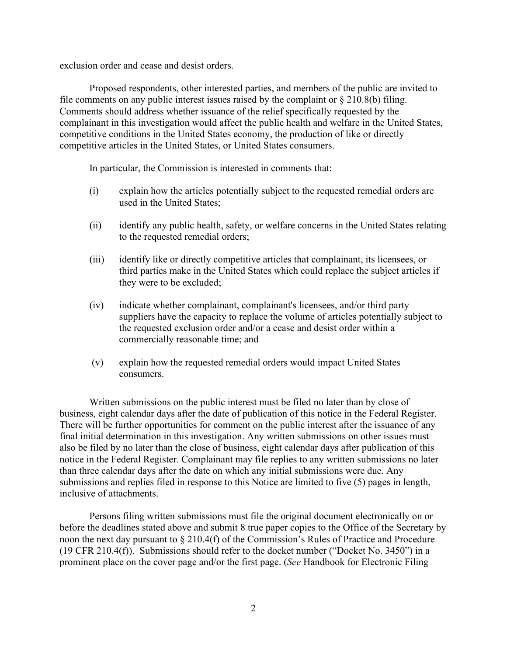exclusion order and cease and desist orders.

Proposed respondents, other interested parties, and members of the public are invited to file comments on any public interest issues raised by the complaint or  $\S 210.8(b)$  filing. Comments should address whether issuance of the relief specifically requested by the complainant in this investigation would affect the public health and welfare in the United States, competitive conditions in the United States economy, the production of like or directly competitive articles in the United States, or United States consumers.

In particular, the Commission is interested in comments that:

- (i) explain how the articles potentially subject to the requested remedial orders are used in the United States;
- (ii) identify any public health, safety, or welfare concerns in the United States relating to the requested remedial orders;
- (iii) identify like or directly competitive articles that complainant, its licensees, or third parties make in the United States which could replace the subject articles if they were to be excluded;
- (iv) indicate whether complainant, complainant's licensees, and/or third party suppliers have the capacity to replace the volume of articles potentially subject to the requested exclusion order and/or a cease and desist order within a commercially reasonable time; and
- (v) explain how the requested remedial orders would impact United States consumers.

Written submissions on the public interest must be filed no later than by close of business, eight calendar days after the date of publication of this notice in the Federal Register. There will be further opportunities for comment on the public interest after the issuance of any final initial determination in this investigation. Any written submissions on other issues must also be filed by no later than the close of business, eight calendar days after publication of this notice in the Federal Register. Complainant may file replies to any written submissions no later than three calendar days after the date on which any initial submissions were due. Any submissions and replies filed in response to this Notice are limited to five (5) pages in length, inclusive of attachments.

Persons filing written submissions must file the original document electronically on or before the deadlines stated above and submit 8 true paper copies to the Office of the Secretary by noon the next day pursuant to § 210.4(f) of the Commission's Rules of Practice and Procedure (19 CFR 210.4(f)). Submissions should refer to the docket number ("Docket No. 3450") in a prominent place on the cover page and/or the first page. (*See* Handbook for Electronic Filing